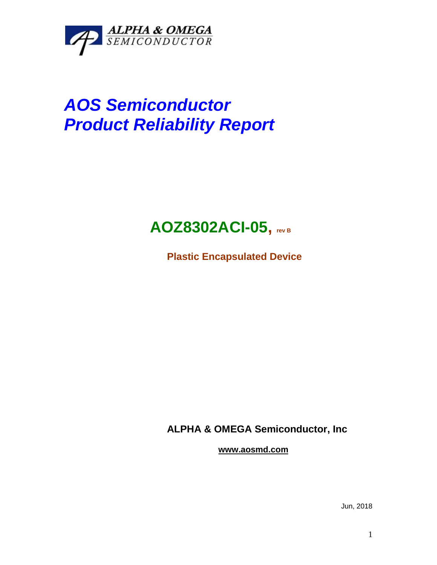

# *AOS Semiconductor Product Reliability Report*

# **AOZ8302ACI-05, rev <sup>B</sup>**

**Plastic Encapsulated Device**

**ALPHA & OMEGA Semiconductor, Inc**

**www.aosmd.com**

Jun, 2018